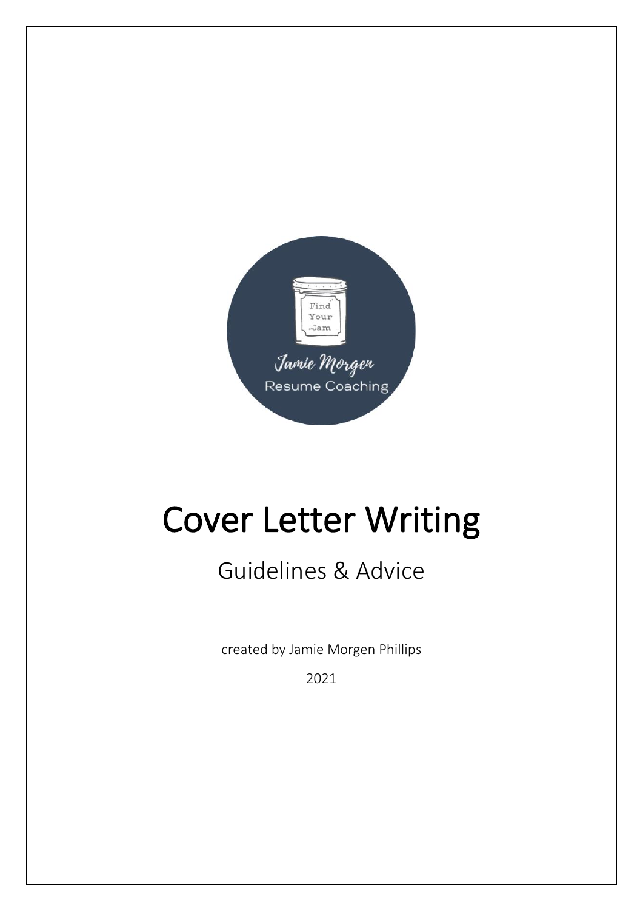

# Cover Letter Writing

## Guidelines & Advice

created by Jamie Morgen Phillips

2021